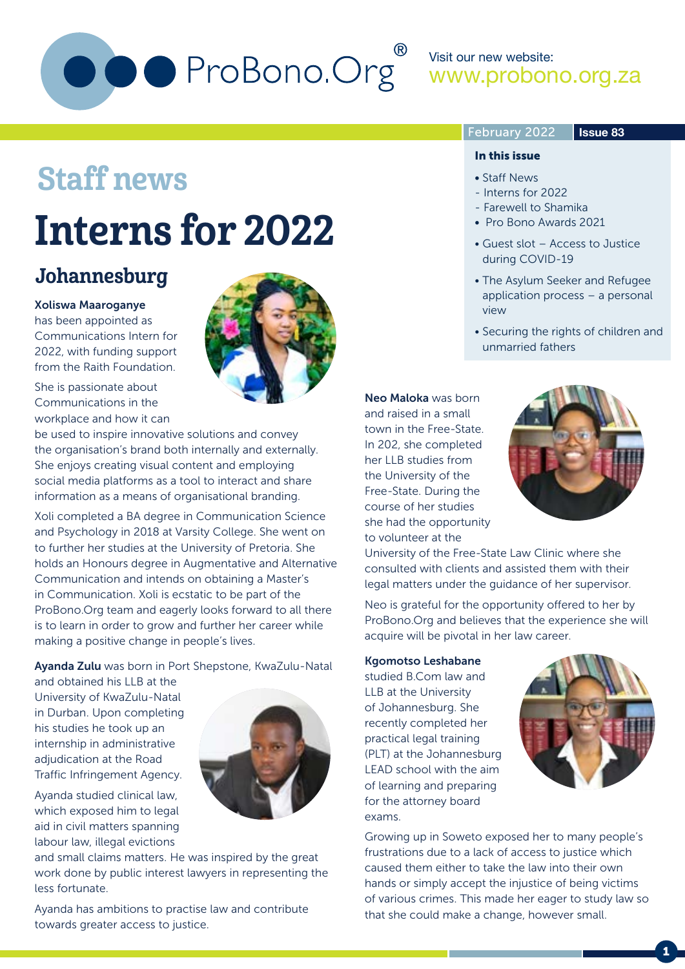

Visit our new website: www.probono.org.za

#### February 2022

#### **Issue 83**

## Staff news

## Interns for 2022

### Johannesburg

#### Xoliswa Maaroganye

has been appointed as Communications Intern for 2022, with funding support from the Raith Foundation.



be used to inspire innovative solutions and convey the organisation's brand both internally and externally. She enjoys creating visual content and employing social media platforms as a tool to interact and share information as a means of organisational branding.

Xoli completed a BA degree in Communication Science and Psychology in 2018 at Varsity College. She went on to further her studies at the University of Pretoria. She holds an Honours degree in Augmentative and Alternative Communication and intends on obtaining a Master's in Communication. Xoli is ecstatic to be part of the ProBono.Org team and eagerly looks forward to all there is to learn in order to grow and further her career while making a positive change in people's lives.

Ayanda Zulu was born in Port Shepstone, KwaZulu-Natal

and obtained his LLB at the University of KwaZulu-Natal in Durban. Upon completing his studies he took up an internship in administrative adjudication at the Road Traffic Infringement Agency.

Ayanda studied clinical law, which exposed him to legal aid in civil matters spanning labour law, illegal evictions



and small claims matters. He was inspired by the great work done by public interest lawyers in representing the less fortunate.

Ayanda has ambitions to practise law and contribute towards greater access to justice.



#### In this issue

- Staff News
- Interns for 2022
- Farewell to Shamika
- Pro Bono Awards 2021
- Guest slot Access to Justice during COVID-19
- The Asylum Seeker and Refugee application process – a personal view
- Securing the rights of children and unmarried fathers

Neo Maloka was born and raised in a small town in the Free-State. In 202, she completed her LLB studies from the University of the Free-State. During the course of her studies she had the opportunity to volunteer at the



University of the Free-State Law Clinic where she consulted with clients and assisted them with their legal matters under the guidance of her supervisor.

Neo is grateful for the opportunity offered to her by ProBono.Org and believes that the experience she will acquire will be pivotal in her law career.

#### Kgomotso Leshabane

studied B.Com law and LLB at the University of Johannesburg. She recently completed her practical legal training (PLT) at the Johannesburg LEAD school with the aim of learning and preparing for the attorney board exams.



Growing up in Soweto exposed her to many people's frustrations due to a lack of access to justice which caused them either to take the law into their own hands or simply accept the injustice of being victims of various crimes. This made her eager to study law so that she could make a change, however small.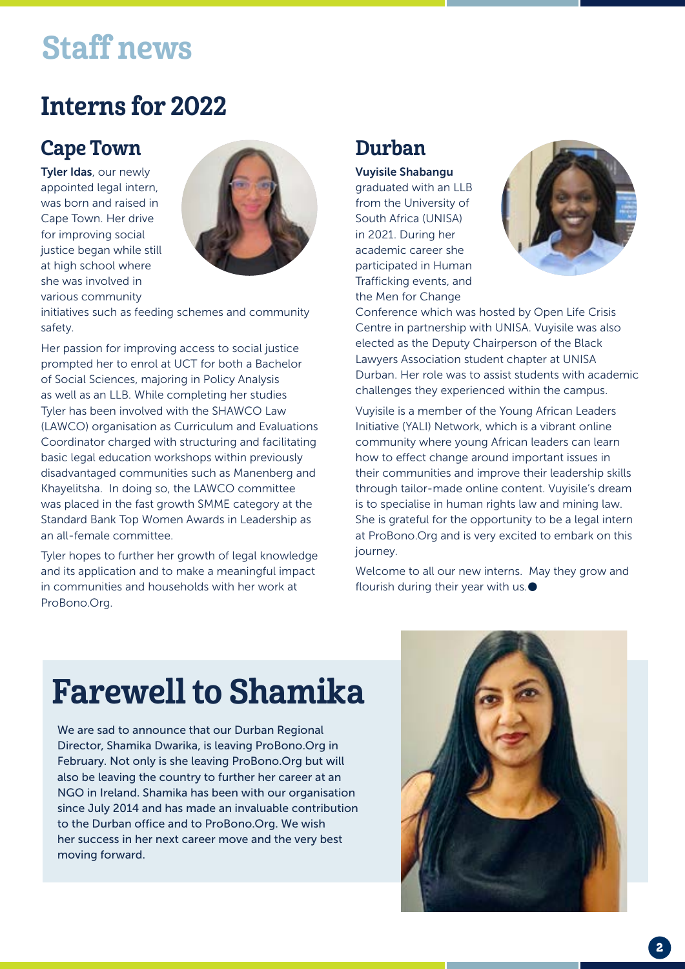## Staff news

## Interns for 2022

### Cape Town

Tyler Idas, our newly appointed legal intern, was born and raised in Cape Town. Her drive for improving social justice began while still at high school where she was involved in various community



initiatives such as feeding schemes and community safety.

Her passion for improving access to social justice prompted her to enrol at UCT for both a Bachelor of Social Sciences, majoring in Policy Analysis as well as an LLB. While completing her studies Tyler has been involved with the SHAWCO Law (LAWCO) organisation as Curriculum and Evaluations Coordinator charged with structuring and facilitating basic legal education workshops within previously disadvantaged communities such as Manenberg and Khayelitsha. In doing so, the LAWCO committee was placed in the fast growth SMME category at the Standard Bank Top Women Awards in Leadership as an all-female committee.

Tyler hopes to further her growth of legal knowledge and its application and to make a meaningful impact in communities and households with her work at ProBono.Org.

### Durban

Vuyisile Shabangu graduated with an LLB from the University of South Africa (UNISA) in 2021. During her academic career she participated in Human Trafficking events, and the Men for Change



Conference which was hosted by Open Life Crisis Centre in partnership with UNISA. Vuyisile was also elected as the Deputy Chairperson of the Black Lawyers Association student chapter at UNISA Durban. Her role was to assist students with academic challenges they experienced within the campus.

Vuyisile is a member of the Young African Leaders Initiative (YALI) Network, which is a vibrant online community where young African leaders can learn how to effect change around important issues in their communities and improve their leadership skills through tailor-made online content. Vuyisile's dream is to specialise in human rights law and mining law. She is grateful for the opportunity to be a legal intern at ProBono.Org and is very excited to embark on this journey.

Welcome to all our new interns. May they grow and flourish during their year with us.<sup>●</sup>

## Farewell to Shamika

We are sad to announce that our Durban Regional Director, Shamika Dwarika, is leaving ProBono.Org in February. Not only is she leaving ProBono.Org but will also be leaving the country to further her career at an NGO in Ireland. Shamika has been with our organisation since July 2014 and has made an invaluable contribution to the Durban office and to ProBono.Org. We wish her success in her next career move and the very best moving forward.

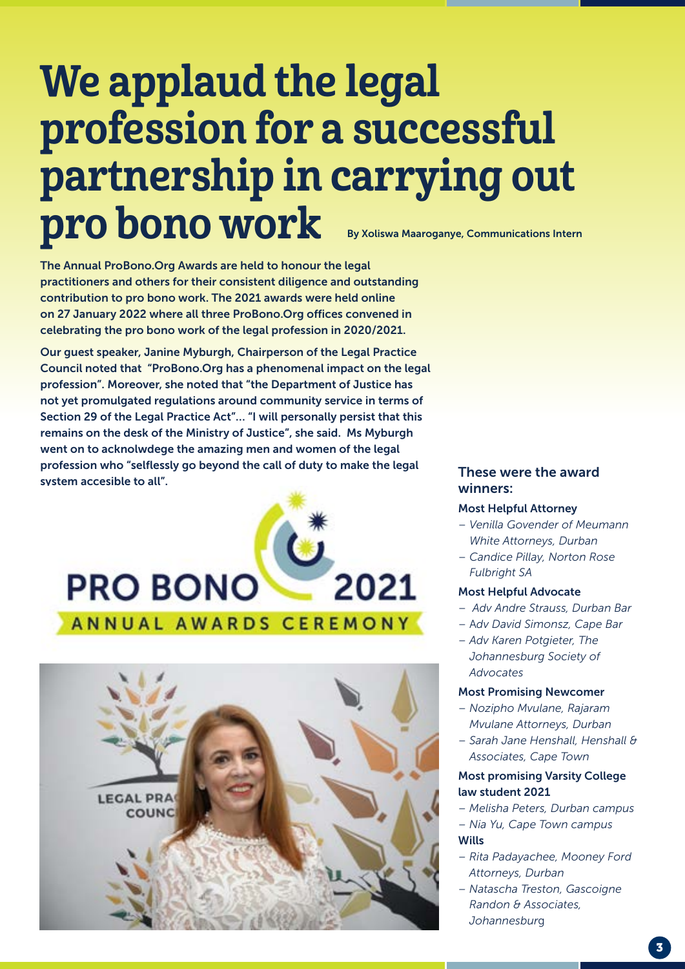## We applaud the legal profession for a successful partnership in carrying out pro bono work By Xoliswa Maaroganye, Communications Intern

The Annual ProBono.Org Awards are held to honour the legal practitioners and others for their consistent diligence and outstanding contribution to pro bono work. The 2021 awards were held online on 27 January 2022 where all three ProBono.Org offices convened in celebrating the pro bono work of the legal profession in 2020/2021.

Our guest speaker, Janine Myburgh, Chairperson of the Legal Practice Council noted that "ProBono.Org has a phenomenal impact on the legal profession". Moreover, she noted that "the Department of Justice has not yet promulgated regulations around community service in terms of Section 29 of the Legal Practice Act"… "I will personally persist that this remains on the desk of the Ministry of Justice", she said. Ms Myburgh went on to acknolwdege the amazing men and women of the legal profession who "selflessly go beyond the call of duty to make the legal system accesible to all".





#### These were the award winners:

#### Most Helpful Attorney

- *Venilla Govender of Meumann White Attorneys, Durban*
- *Candice Pillay, Norton Rose Fulbright SA*

#### Most Helpful Advocate

- *Adv Andre Strauss, Durban Bar*
- A*dv David Simonsz, Cape Bar*
- *Adv Karen Potgieter, The Johannesburg Society of Advocates*

#### Most Promising Newcomer

- *Nozipho Mvulane, Rajaram Mvulane Attorneys, Durban*
- *Sarah Jane Henshall, Henshall & Associates, Cape Town*

#### Most promising Varsity College law student 2021

- *Melisha Peters, Durban campus*
- *Nia Yu, Cape Town campus* Wills
- *Rita Padayachee, Mooney Ford Attorneys, Durban*
- *Natascha Treston, Gascoigne Randon & Associates, Johannesbur*g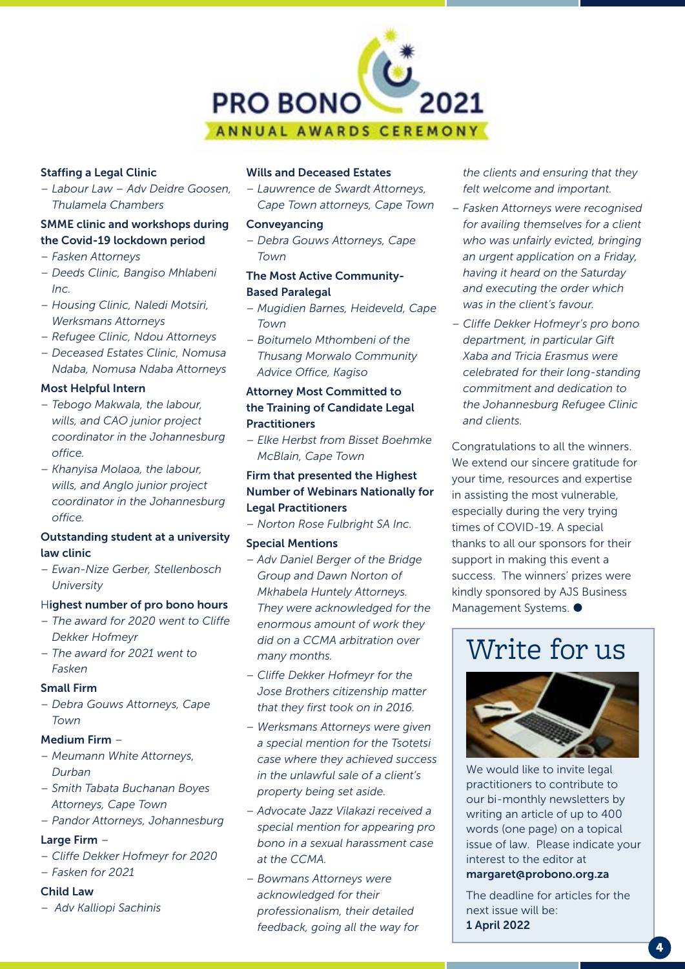

#### Staffing a Legal Clinic

*– Labour Law – Adv Deidre Goosen, Thulamela Chambers*

#### SMME clinic and workshops during the Covid-19 lockdown period

- *Fasken Attorneys*
- *Deeds Clinic, Bangiso Mhlabeni Inc.*
- *Housing Clinic, Naledi Motsiri, Werksmans Attorneys*
- *Refugee Clinic, Ndou Attorneys*
- *Deceased Estates Clinic, Nomusa Ndaba, Nomusa Ndaba Attorneys*

#### Most Helpful Intern

- *Tebogo Makwala, the labour, wills, and CAO junior project coordinator in the Johannesburg office.*
- *Khanyisa Molaoa, the labour, wills, and Anglo junior project coordinator in the Johannesburg office.*

#### Outstanding student at a university law clinic

*– Ewan-Nize Gerber, Stellenbosch University*

#### Highest number of pro bono hours

- *The award for 2020 went to Cliffe Dekker Hofmeyr*
- *The award for 2021 went to Fasken*

#### Small Firm

*– Debra Gouws Attorneys, Cape Town*

#### Medium Firm –

- *Meumann White Attorneys, Durban*
- *Smith Tabata Buchanan Boyes Attorneys, Cape Town*
- *Pandor Attorneys, Johannesburg*

#### Large Firm -

- *Cliffe Dekker Hofmeyr for 2020*
- *Fasken for 2021*

#### Child Law

*– Adv Kalliopi Sachinis*

#### Wills and Deceased Estates

*– Lauwrence de Swardt Attorneys, Cape Town attorneys, Cape Town*

#### Conveyancing

*– Debra Gouws Attorneys, Cape Town*

#### The Most Active Community-Based Paralegal

- *Mugidien Barnes, Heideveld, Cape Town*
- *Boitumelo Mthombeni of the Thusang Morwalo Community Advice Office, Kagiso*

#### Attorney Most Committed to the Training of Candidate Legal Practitioners

*– Elke Herbst from Bisset Boehmke McBlain, Cape Town*

#### Firm that presented the Highest Number of Webinars Nationally for Legal Practitioners

*– Norton Rose Fulbright SA Inc.*

#### Special Mentions

- *Adv Daniel Berger of the Bridge Group and Dawn Norton of Mkhabela Huntely Attorneys. They were acknowledged for the enormous amount of work they did on a CCMA arbitration over many months.*
- *Cliffe Dekker Hofmeyr for the Jose Brothers citizenship matter that they first took on in 2016.*
- *Werksmans Attorneys were given a special mention for the Tsotetsi case where they achieved success in the unlawful sale of a client's property being set aside.*
- *Advocate Jazz Vilakazi received a special mention for appearing pro bono in a sexual harassment case at the CCMA.*
- *Bowmans Attorneys were acknowledged for their professionalism, their detailed feedback, going all the way for*

*the clients and ensuring that they felt welcome and important.*

- *Fasken Attorneys were recognised for availing themselves for a client who was unfairly evicted, bringing an urgent application on a Friday, having it heard on the Saturday and executing the order which was in the client's favour.*
- *Cliffe Dekker Hofmeyr's pro bono department, in particular Gift Xaba and Tricia Erasmus were celebrated for their long-standing commitment and dedication to the Johannesburg Refugee Clinic and clients.*

Congratulations to all the winners. We extend our sincere gratitude for your time, resources and expertise in assisting the most vulnerable, especially during the very trying times of COVID-19. A special thanks to all our sponsors for their support in making this event a success. The winners' prizes were kindly sponsored by AJS Business Management Systems.  $\bullet$ 

## Write for us



We would like to invite legal practitioners to contribute to our bi-monthly newsletters by writing an article of up to 400 words (one page) on a topical issue of law. Please indicate your interest to the editor at margaret@probono.org.za

The deadline for articles for the next issue will be: 1 April 2022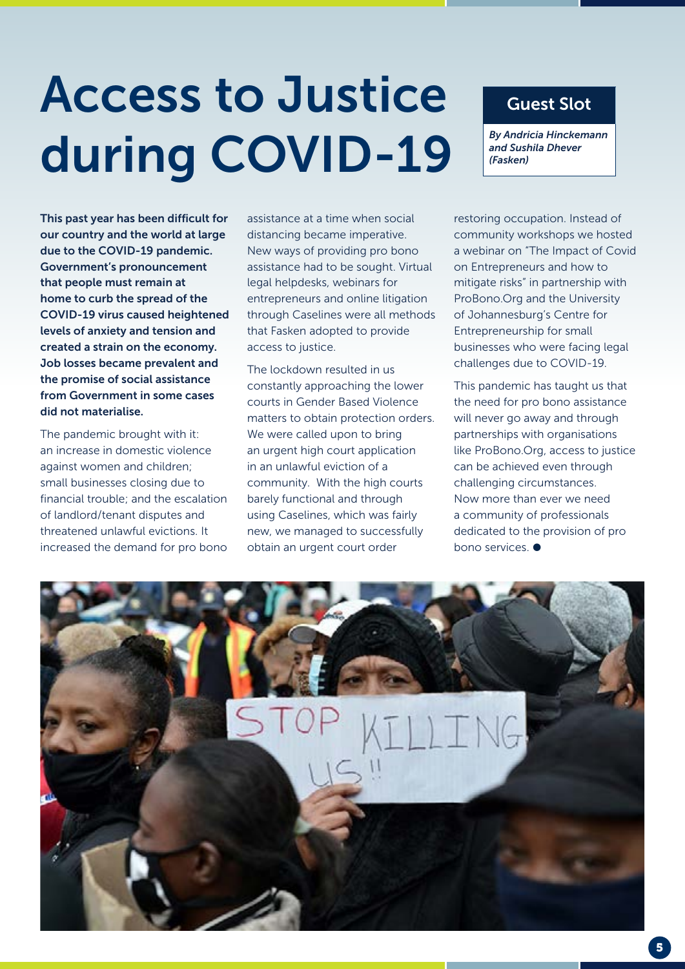# Access to Justice during COVID-19

### Guest Slot

*By Andricia Hinckemann and Sushila Dhever (Fasken)*

This past year has been difficult for our country and the world at large due to the COVID-19 pandemic. Government's pronouncement that people must remain at home to curb the spread of the COVID-19 virus caused heightened levels of anxiety and tension and created a strain on the economy. Job losses became prevalent and the promise of social assistance from Government in some cases did not materialise.

The pandemic brought with it: an increase in domestic violence against women and children; small businesses closing due to financial trouble; and the escalation of landlord/tenant disputes and threatened unlawful evictions. It increased the demand for pro bono

assistance at a time when social distancing became imperative. New ways of providing pro bono assistance had to be sought. Virtual legal helpdesks, webinars for entrepreneurs and online litigation through Caselines were all methods that Fasken adopted to provide access to justice.

The lockdown resulted in us constantly approaching the lower courts in Gender Based Violence matters to obtain protection orders. We were called upon to bring an urgent high court application in an unlawful eviction of a community. With the high courts barely functional and through using Caselines, which was fairly new, we managed to successfully obtain an urgent court order

restoring occupation. Instead of community workshops we hosted a webinar on "The Impact of Covid on Entrepreneurs and how to mitigate risks" in partnership with ProBono.Org and the University of Johannesburg's Centre for Entrepreneurship for small businesses who were facing legal challenges due to COVID-19.

This pandemic has taught us that the need for pro bono assistance will never go away and through partnerships with organisations like ProBono.Org, access to justice can be achieved even through challenging circumstances. Now more than ever we need a community of professionals dedicated to the provision of pro bono services.  $\bullet$ 

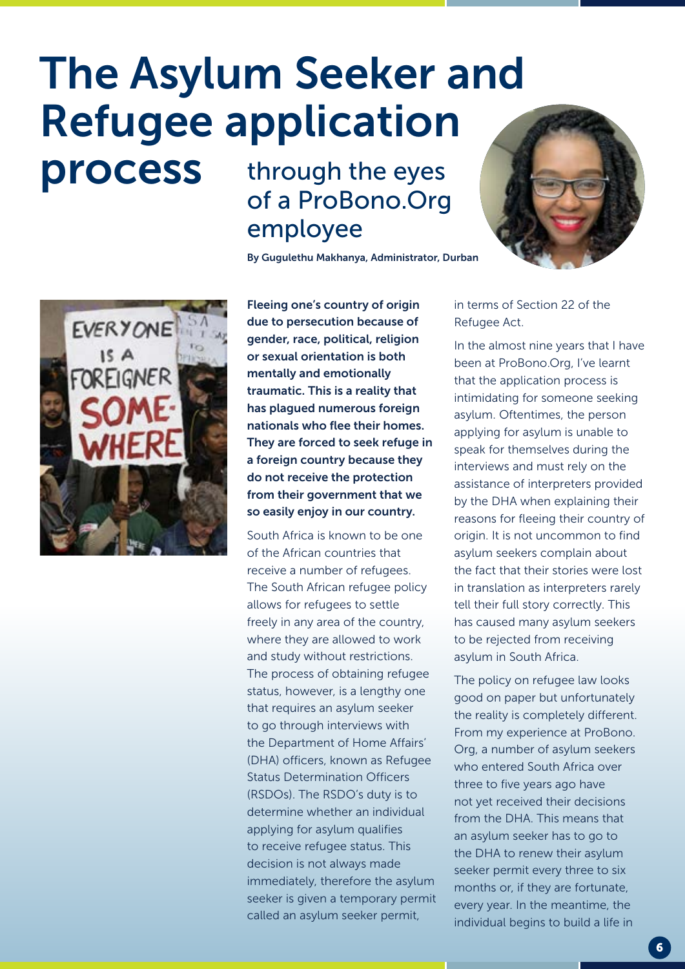## The Asylum Seeker and Refugee application

through the eyes of a ProBono.Org employee

By Gugulethu Makhanya, Administrator, Durban





process

Fleeing one's country of origin due to persecution because of gender, race, political, religion or sexual orientation is both mentally and emotionally traumatic. This is a reality that has plagued numerous foreign nationals who flee their homes. They are forced to seek refuge in a foreign country because they do not receive the protection from their government that we so easily enjoy in our country.

South Africa is known to be one of the African countries that receive a number of refugees. The South African refugee policy allows for refugees to settle freely in any area of the country, where they are allowed to work and study without restrictions. The process of obtaining refugee status, however, is a lengthy one that requires an asylum seeker to go through interviews with the Department of Home Affairs' (DHA) officers, known as Refugee Status Determination Officers (RSDOs). The RSDO's duty is to determine whether an individual applying for asylum qualifies to receive refugee status. This decision is not always made immediately, therefore the asylum seeker is given a temporary permit called an asylum seeker permit,

in terms of Section 22 of the Refugee Act.

In the almost nine years that I have been at ProBono.Org, I've learnt that the application process is intimidating for someone seeking asylum. Oftentimes, the person applying for asylum is unable to speak for themselves during the interviews and must rely on the assistance of interpreters provided by the DHA when explaining their reasons for fleeing their country of origin. It is not uncommon to find asylum seekers complain about the fact that their stories were lost in translation as interpreters rarely tell their full story correctly. This has caused many asylum seekers to be rejected from receiving asylum in South Africa.

The policy on refugee law looks good on paper but unfortunately the reality is completely different. From my experience at ProBono. Org, a number of asylum seekers who entered South Africa over three to five years ago have not yet received their decisions from the DHA. This means that an asylum seeker has to go to the DHA to renew their asylum seeker permit every three to six months or, if they are fortunate, every year. In the meantime, the individual begins to build a life in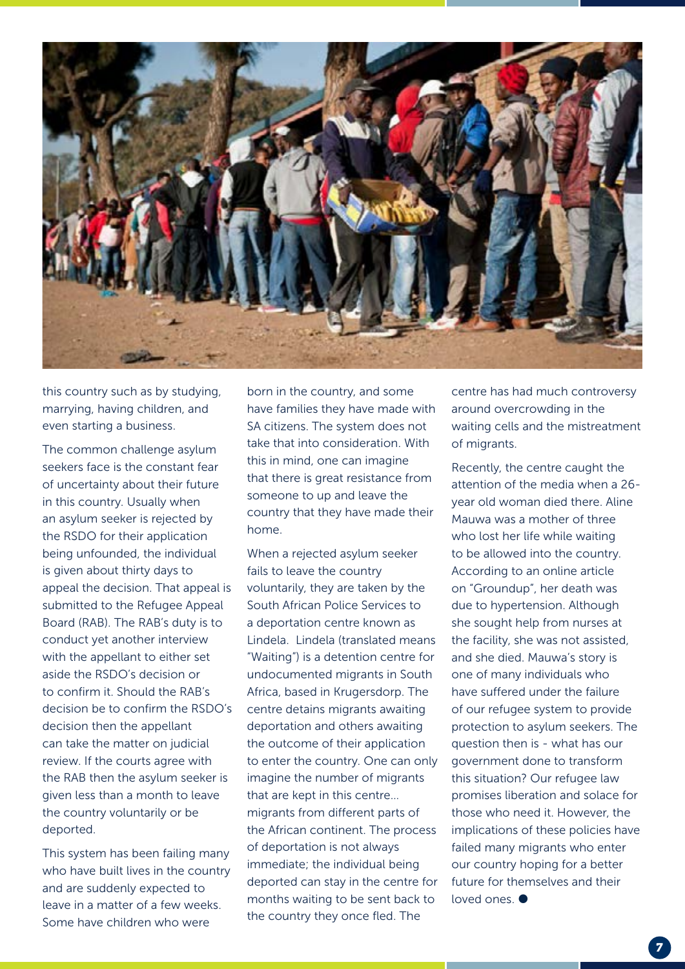

this country such as by studying, marrying, having children, and even starting a business.

The common challenge asylum seekers face is the constant fear of uncertainty about their future in this country. Usually when an asylum seeker is rejected by the RSDO for their application being unfounded, the individual is given about thirty days to appeal the decision. That appeal is submitted to the Refugee Appeal Board (RAB). The RAB's duty is to conduct yet another interview with the appellant to either set aside the RSDO's decision or to confirm it. Should the RAB's decision be to confirm the RSDO's decision then the appellant can take the matter on judicial review. If the courts agree with the RAB then the asylum seeker is given less than a month to leave the country voluntarily or be deported.

This system has been failing many who have built lives in the country and are suddenly expected to leave in a matter of a few weeks. Some have children who were

born in the country, and some have families they have made with SA citizens. The system does not take that into consideration. With this in mind, one can imagine that there is great resistance from someone to up and leave the country that they have made their home.

When a rejected asylum seeker fails to leave the country voluntarily, they are taken by the South African Police Services to a deportation centre known as Lindela. Lindela (translated means "Waiting") is a detention centre for undocumented migrants in South Africa, based in Krugersdorp. The centre detains migrants awaiting deportation and others awaiting the outcome of their application to enter the country. One can only imagine the number of migrants that are kept in this centre… migrants from different parts of the African continent. The process of deportation is not always immediate; the individual being deported can stay in the centre for months waiting to be sent back to the country they once fled. The

centre has had much controversy around overcrowding in the waiting cells and the mistreatment of migrants.

Recently, the centre caught the attention of the media when a 26 year old woman died there. Aline Mauwa was a mother of three who lost her life while waiting to be allowed into the country. According to an online article on "Groundup", her death was due to hypertension. Although she sought help from nurses at the facility, she was not assisted, and she died. Mauwa's story is one of many individuals who have suffered under the failure of our refugee system to provide protection to asylum seekers. The question then is - what has our government done to transform this situation? Our refugee law promises liberation and solace for those who need it. However, the implications of these policies have failed many migrants who enter our country hoping for a better future for themselves and their loved ones.